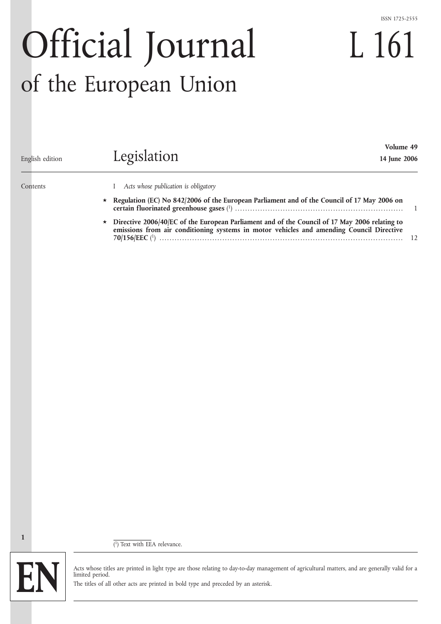### ISSN 1725-2555

L 161

# Official Journal of the European Union

| English edition | Volume 49<br>Legislation<br>14 June 2006                                                                                                                                                  |  |
|-----------------|-------------------------------------------------------------------------------------------------------------------------------------------------------------------------------------------|--|
| Contents        | Acts whose publication is obligatory<br>Regulation (EC) No 842/2006 of the European Parliament and of the Council of 17 May 2006 on                                                       |  |
|                 | Directive 2006/40/EC of the European Parliament and of the Council of 17 May 2006 relating to<br>emissions from air conditioning systems in motor vehicles and amending Council Directive |  |

( 1) Text with EEA relevance.



**1**

Acts whose titles are printed in light type are those relating to day-to-day management of agricultural matters, and are generally valid for a limited period.

The titles of all other acts are printed in bold type and preceded by an asterisk.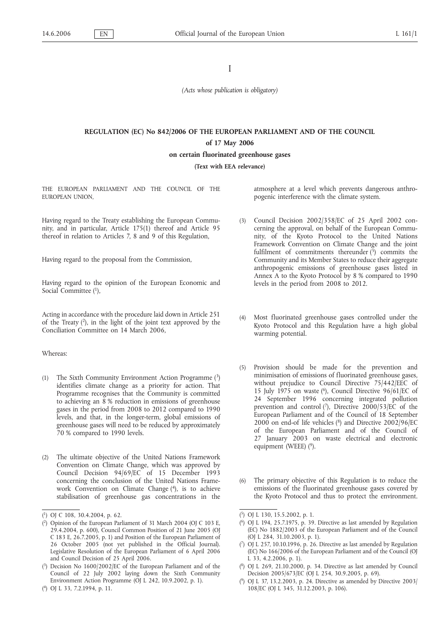# I

*(Acts whose publication is obligatory)*

# **REGULATION (EC) No 842/2006 OF THE EUROPEAN PARLIAMENT AND OF THE COUNCIL of 17 May 2006**

**on certain fluorinated greenhouse gases**

**(Text with EEA relevance)**

THE EUROPEAN PARLIAMENT AND THE COUNCIL OF THE EUROPEAN UNION,

Having regard to the Treaty establishing the European Community, and in particular, Article 175(1) thereof and Article 95 thereof in relation to Articles 7, 8 and 9 of this Regulation,

Having regard to the proposal from the Commission,

Having regard to the opinion of the European Economic and Social Committee (1),

Acting in accordance with the procedure laid down in Article 251 of the Treaty  $(2)$ , in the light of the joint text approved by the Conciliation Committee on 14 March 2006,

# Whereas:

- (1) The Sixth Community Environment Action Programme  $\binom{3}{2}$ identifies climate change as a priority for action. That Programme recognises that the Community is committed to achieving an 8 % reduction in emissions of greenhouse gases in the period from 2008 to 2012 compared to 1990 levels, and that, in the longer-term, global emissions of greenhouse gases will need to be reduced by approximately 70 % compared to 1990 levels.
- (2) The ultimate objective of the United Nations Framework Convention on Climate Change, which was approved by Council Decision 94/69/EC of 15 December 1993 concerning the conclusion of the United Nations Framework Convention on Climate Change (4), is to achieve stabilisation of greenhouse gas concentrations in the

atmosphere at a level which prevents dangerous anthropogenic interference with the climate system.

- (3) Council Decision 2002/358/EC of 25 April 2002 concerning the approval, on behalf of the European Community, of the Kyoto Protocol to the United Nations Framework Convention on Climate Change and the joint fulfilment of commitments thereunder  $(\bar{5})$  commits the Community and its Member States to reduce their aggregate anthropogenic emissions of greenhouse gases listed in Annex A to the Kyoto Protocol by 8 % compared to 1990 levels in the period from 2008 to 2012.
- Most fluorinated greenhouse gases controlled under the Kyoto Protocol and this Regulation have a high global warming potential.
- (5) Provision should be made for the prevention and minimisation of emissions of fluorinated greenhouse gases, without prejudice to Council Directive 75/442/EEC of 15 July 1975 on waste  $(6)$ , Council Directive 96/61/EC of 24 September 1996 concerning integrated pollution prevention and control  $(7)$ , Directive 2000/53/EC of the European Parliament and of the Council of 18 September 2000 on end-of life vehicles  $(^{8})$  and Directive 2002/96/EC of the European Parliament and of the Council of 27 January 2003 on waste electrical and electronic equipment (WEEE) (9).
- The primary objective of this Regulation is to reduce the emissions of the fluorinated greenhouse gases covered by the Kyoto Protocol and thus to protect the environment.

( 9) OJ L 37, 13.2.2003, p. 24. Directive as amended by Directive 2003/ 108/EC (OJ L 345, 31.12.2003, p. 106).

<sup>(</sup> 1) OJ C 108, 30.4.2004, p. 62.

<sup>(</sup> 2) Opinion of the European Parliament of 31 March 2004 (OJ C 103 E, 29.4.2004, p. 600), Council Common Position of 21 June 2005 (OJ C 183 E, 26.7.2005, p. 1) and Position of the European Parliament of 26 October 2005 (not yet published in the Official Journal). Legislative Resolution of the European Parliament of 6 April 2006 and Council Decision of 25 April 2006.

<sup>(</sup> 3) Decision No 1600/2002/EC of the European Parliament and of the Council of 22 July 2002 laying down the Sixth Community Environment Action Programme (OJ L 242, 10.9.2002, p. 1).

<sup>(</sup> 4) OJ L 33, 7.2.1994, p. 11.

<sup>(</sup> 5) OJ L 130, 15.5.2002, p. 1.

<sup>(</sup> 6) OJ L 194, 25.7.1975, p. 39. Directive as last amended by Regulation (EC) No 1882/2003 of the European Parliament and of the Council (OJ L 284, 31.10.2003, p. 1).

<sup>(</sup> 7) OJ L 257, 10.10.1996, p. 26. Directive as last amended by Regulation (EC) No 166/2006 of the European Parliament and of the Council (OJ L 33, 4.2.2006, p. 1).

<sup>(</sup> 8) OJ L 269, 21.10.2000, p. 34. Directive as last amended by Council Decision 2005/673/EC (OJ L 254, 30.9.2005, p. 69).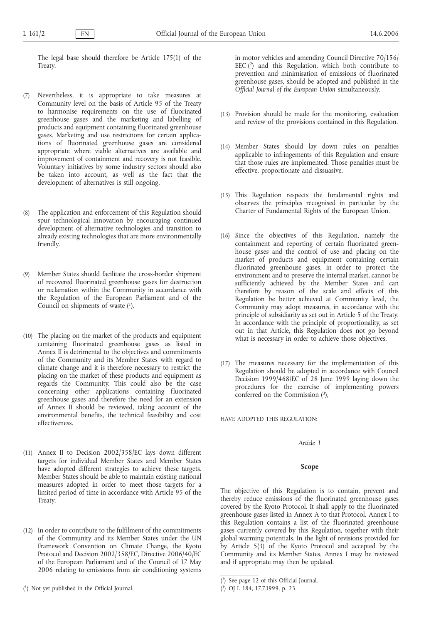The legal base should therefore be Article 175(1) of the Treaty.

- (7) Nevertheless, it is appropriate to take measures at Community level on the basis of Article 95 of the Treaty to harmonise requirements on the use of fluorinated greenhouse gases and the marketing and labelling of products and equipment containing fluorinated greenhouse gases. Marketing and use restrictions for certain applications of fluorinated greenhouse gases are considered appropriate where viable alternatives are available and improvement of containment and recovery is not feasible. Voluntary initiatives by some industry sectors should also be taken into account, as well as the fact that the development of alternatives is still ongoing.
- (8) The application and enforcement of this Regulation should spur technological innovation by encouraging continued development of alternative technologies and transition to already existing technologies that are more environmentally friendly.
- Member States should facilitate the cross-border shipment of recovered fluorinated greenhouse gases for destruction or reclamation within the Community in accordance with the Regulation of the European Parliament and of the Council on shipments of waste (1).
- (10) The placing on the market of the products and equipment containing fluorinated greenhouse gases as listed in Annex II is detrimental to the objectives and commitments of the Community and its Member States with regard to climate change and it is therefore necessary to restrict the placing on the market of these products and equipment as regards the Community. This could also be the case concerning other applications containing fluorinated greenhouse gases and therefore the need for an extension of Annex II should be reviewed, taking account of the environmental benefits, the technical feasibility and cost effectiveness.
- (11) Annex II to Decision 2002/358/EC lays down different targets for individual Member States and Member States have adopted different strategies to achieve these targets. Member States should be able to maintain existing national measures adopted in order to meet those targets for a limited period of time in accordance with Article 95 of the Treaty.
- (12) In order to contribute to the fulfilment of the commitments of the Community and its Member States under the UN Framework Convention on Climate Change, the Kyoto Protocol and Decision 2002/358/EC, Directive 2006/40/EC of the European Parliament and of the Council of 17 May 2006 relating to emissions from air conditioning systems

in motor vehicles and amending Council Directive 70/156/ EEC  $(2)$  and this Regulation, which both contribute to prevention and minimisation of emissions of fluorinated greenhouse gases, should be adopted and published in the *Official Journal of the European Union* simultaneously.

- (13) Provision should be made for the monitoring, evaluation and review of the provisions contained in this Regulation.
- (14) Member States should lay down rules on penalties applicable to infringements of this Regulation and ensure that those rules are implemented. Those penalties must be effective, proportionate and dissuasive.
- (15) This Regulation respects the fundamental rights and observes the principles recognised in particular by the Charter of Fundamental Rights of the European Union.
- (16) Since the objectives of this Regulation, namely the containment and reporting of certain fluorinated greenhouse gases and the control of use and placing on the market of products and equipment containing certain fluorinated greenhouse gases, in order to protect the environment and to preserve the internal market, cannot be sufficiently achieved by the Member States and can therefore by reason of the scale and effects of this Regulation be better achieved at Community level, the Community may adopt measures, in accordance with the principle of subsidiarity as set out in Article 5 of the Treaty. In accordance with the principle of proportionality, as set out in that Article, this Regulation does not go beyond what is necessary in order to achieve those objectives.
- (17) The measures necessary for the implementation of this Regulation should be adopted in accordance with Council Decision 1999/468/EC of 28 June 1999 laying down the procedures for the exercise of implementing powers conferred on the Commission  $(3)$ ,

HAVE ADOPTED THIS REGULATION:

# *Article 1*

### **Scope**

The objective of this Regulation is to contain, prevent and thereby reduce emissions of the fluorinated greenhouse gases covered by the Kyoto Protocol. It shall apply to the fluorinated greenhouse gases listed in Annex A to that Protocol. Annex I to this Regulation contains a list of the fluorinated greenhouse gases currently covered by this Regulation, together with their global warming potentials. In the light of revisions provided for by Article 5(3) of the Kyoto Protocol and accepted by the Community and its Member States, Annex I may be reviewed and if appropriate may then be updated.

<sup>(</sup> 1) Not yet published in the Official Journal.

<sup>(</sup> 2) See page 12 of this Official Journal.

<sup>(</sup> 3) OJ L 184, 17.7.1999, p. 23.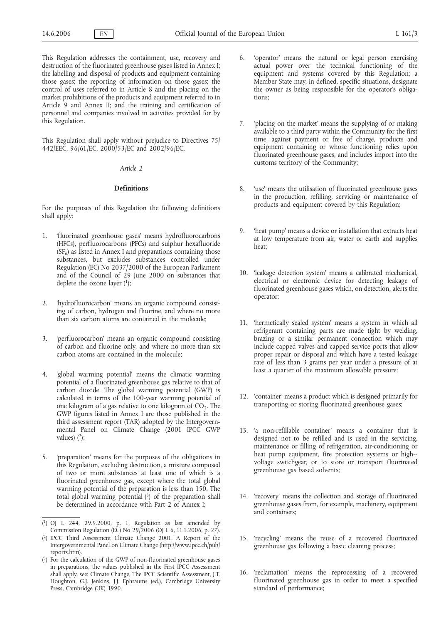This Regulation addresses the containment, use, recovery and destruction of the fluorinated greenhouse gases listed in Annex I; the labelling and disposal of products and equipment containing those gases; the reporting of information on those gases; the control of uses referred to in Article 8 and the placing on the market prohibitions of the products and equipment referred to in Article 9 and Annex II; and the training and certification of personnel and companies involved in activities provided for by this Regulation.

This Regulation shall apply without prejudice to Directives 75/ 442/EEC, 96/61/EC, 2000/53/EC and 2002/96/EC.

# *Article 2*

### **Definitions**

For the purposes of this Regulation the following definitions shall apply:

- 1. 'fluorinated greenhouse gases' means hydrofluorocarbons (HFCs), perfluorocarbons (PFCs) and sulphur hexafluoride  $(SF_6)$  as listed in Annex I and preparations containing those substances, but excludes substances controlled under Regulation (EC) No 2037/2000 of the European Parliament and of the Council of 29 June 2000 on substances that deplete the ozone layer  $(1)$ ;
- 2. 'hydrofluorocarbon' means an organic compound consisting of carbon, hydrogen and fluorine, and where no more than six carbon atoms are contained in the molecule;
- 3. 'perfluorocarbon' means an organic compound consisting of carbon and fluorine only, and where no more than six carbon atoms are contained in the molecule;
- 4. 'global warming potential' means the climatic warming potential of a fluorinated greenhouse gas relative to that of carbon dioxide. The global warming potential (GWP) is calculated in terms of the 100-year warming potential of one kilogram of a gas relative to one kilogram of  $CO<sub>2</sub>$ . The GWP figures listed in Annex I are those published in the third assessment report (TAR) adopted by the Intergovernmental Panel on Climate Change (2001 IPCC GWP values)  $(2)$ ;
- 5. 'preparation' means for the purposes of the obligations in this Regulation, excluding destruction, a mixture composed of two or more substances at least one of which is a fluorinated greenhouse gas, except where the total global warming potential of the preparation is less than 150. The total global warming potential  $(3)$  of the preparation shall be determined in accordance with Part 2 of Annex I;

( 2) IPCC Third Assessment Climate Change 2001. A Report of the Intergovernmental Panel on Climate Change (http://www.ipcc.ch/pub/ reports.htm).

- 'operator' means the natural or legal person exercising actual power over the technical functioning of the equipment and systems covered by this Regulation; a Member State may, in defined, specific situations, designate the owner as being responsible for the operator's obligations;
- 7. 'placing on the market' means the supplying of or making available to a third party within the Community for the first time, against payment or free of charge, products and equipment containing or whose functioning relies upon fluorinated greenhouse gases, and includes import into the customs territory of the Community;
- 8. 'use' means the utilisation of fluorinated greenhouse gases in the production, refilling, servicing or maintenance of products and equipment covered by this Regulation;
- 9. 'heat pump' means a device or installation that extracts heat at low temperature from air, water or earth and supplies heat;
- 10. 'leakage detection system' means a calibrated mechanical, electrical or electronic device for detecting leakage of fluorinated greenhouse gases which, on detection, alerts the operator;
- 11. 'hermetically sealed system' means a system in which all refrigerant containing parts are made tight by welding, brazing or a similar permanent connection which may include capped valves and capped service ports that allow proper repair or disposal and which have a tested leakage rate of less than 3 grams per year under a pressure of at least a quarter of the maximum allowable pressure;
- 12. 'container' means a product which is designed primarily for transporting or storing fluorinated greenhouse gases;
- 13. 'a non-refillable container' means a container that is designed not to be refilled and is used in the servicing, maintenance or filling of refrigeration, air-conditioning or heat pump equipment, fire protection systems or high-voltage switchgear, or to store or transport fluorinated greenhouse gas based solvents;
- 14. 'recovery' means the collection and storage of fluorinated greenhouse gases from, for example, machinery, equipment and containers;
- 15. 'recycling' means the reuse of a recovered fluorinated greenhouse gas following a basic cleaning process;
- 16. 'reclamation' means the reprocessing of a recovered fluorinated greenhouse gas in order to meet a specified standard of performance;

<sup>(</sup> 1) OJ L 244, 29.9.2000, p. 1. Regulation as last amended by Commission Regulation (EC) No 29/2006 (OJ L 6, 11.1.2006, p. 27).

<sup>(</sup> 3) For the calculation of the GWP of non-fluorinated greenhouse gases in preparations, the values published in the First IPCC Assessment shall apply, see: Climate Change, The IPCC Scientific Assessment, J.T. Houghton, G.J. Jenkins, J.J. Ephraums (ed.), Cambridge University Press, Cambridge (UK) 1990.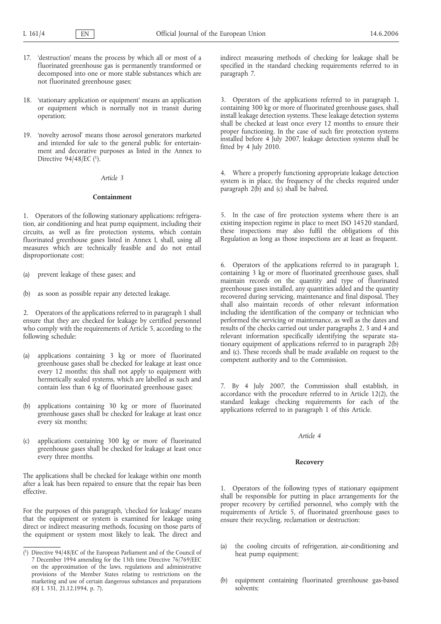- 17. 'destruction' means the process by which all or most of a fluorinated greenhouse gas is permanently transformed or decomposed into one or more stable substances which are not fluorinated greenhouse gases;
- 18. 'stationary application or equipment' means an application or equipment which is normally not in transit during operation;
- 19. 'novelty aerosol' means those aerosol generators marketed and intended for sale to the general public for entertainment and decorative purposes as listed in the Annex to Directive  $94/48$ /EC  $(1)$ .

# *Article 3*

### **Containment**

1. Operators of the following stationary applications: refrigeration, air conditioning and heat pump equipment, including their circuits, as well as fire protection systems, which contain fluorinated greenhouse gases listed in Annex I, shall, using all measures which are technically feasible and do not entail disproportionate cost:

- (a) prevent leakage of these gases; and
- (b) as soon as possible repair any detected leakage.

2. Operators of the applications referred to in paragraph 1 shall ensure that they are checked for leakage by certified personnel who comply with the requirements of Article 5, according to the following schedule:

- (a) applications containing 3 kg or more of fluorinated greenhouse gases shall be checked for leakage at least once every 12 months; this shall not apply to equipment with hermetically sealed systems, which are labelled as such and contain less than 6 kg of fluorinated greenhouse gases;
- (b) applications containing 30 kg or more of fluorinated greenhouse gases shall be checked for leakage at least once every six months;
- (c) applications containing 300 kg or more of fluorinated greenhouse gases shall be checked for leakage at least once every three months.

The applications shall be checked for leakage within one month after a leak has been repaired to ensure that the repair has been effective.

For the purposes of this paragraph, 'checked for leakage' means that the equipment or system is examined for leakage using direct or indirect measuring methods, focusing on those parts of the equipment or system most likely to leak. The direct and

indirect measuring methods of checking for leakage shall be specified in the standard checking requirements referred to in paragraph 7.

3. Operators of the applications referred to in paragraph 1, containing 300 kg or more of fluorinated greenhouse gases, shall install leakage detection systems. These leakage detection systems shall be checked at least once every 12 months to ensure their proper functioning. In the case of such fire protection systems installed before 4 July 2007, leakage detection systems shall be fitted by 4 July 2010.

4. Where a properly functioning appropriate leakage detection system is in place, the frequency of the checks required under paragraph 2(b) and (c) shall be halved.

5. In the case of fire protection systems where there is an existing inspection regime in place to meet ISO 14520 standard, these inspections may also fulfil the obligations of this Regulation as long as those inspections are at least as frequent.

6. Operators of the applications referred to in paragraph 1, containing 3 kg or more of fluorinated greenhouse gases, shall maintain records on the quantity and type of fluorinated greenhouse gases installed, any quantities added and the quantity recovered during servicing, maintenance and final disposal. They shall also maintain records of other relevant information including the identification of the company or technician who performed the servicing or maintenance, as well as the dates and results of the checks carried out under paragraphs 2, 3 and 4 and relevant information specifically identifying the separate stationary equipment of applications referred to in paragraph 2(b) and (c). These records shall be made available on request to the competent authority and to the Commission.

7. By 4 July 2007, the Commission shall establish, in accordance with the procedure referred to in Article 12(2), the standard leakage checking requirements for each of the applications referred to in paragraph 1 of this Article.

### *Article 4*

# **Recovery**

1. Operators of the following types of stationary equipment shall be responsible for putting in place arrangements for the proper recovery by certified personnel, who comply with the requirements of Article 5, of fluorinated greenhouse gases to ensure their recycling, reclamation or destruction:

- (a) the cooling circuits of refrigeration, air-conditioning and heat pump equipment;
- equipment containing fluorinated greenhouse gas-based solvents;

<sup>(</sup> 1) Directive 94/48/EC of the European Parliament and of the Council of 7 December 1994 amending for the 13th time Directive 76/769/EEC on the approximation of the laws, regulations and administrative provisions of the Member States relating to restrictions on the marketing and use of certain dangerous substances and preparations (OJ L 331, 21.12.1994, p. 7).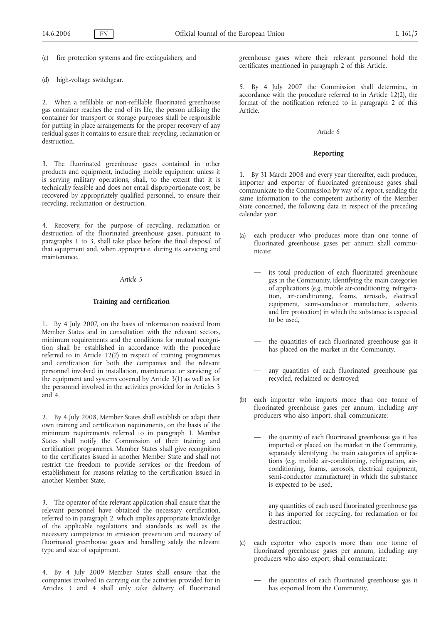(c) fire protection systems and fire extinguishers; and

(d) high-voltage switchgear.

2. When a refillable or non-refillable fluorinated greenhouse gas container reaches the end of its life, the person utilising the container for transport or storage purposes shall be responsible for putting in place arrangements for the proper recovery of any residual gases it contains to ensure their recycling, reclamation or destruction.

3. The fluorinated greenhouse gases contained in other products and equipment, including mobile equipment unless it is serving military operations, shall, to the extent that it is technically feasible and does not entail disproportionate cost, be recovered by appropriately qualified personnel, to ensure their recycling, reclamation or destruction.

4. Recovery, for the purpose of recycling, reclamation or destruction of the fluorinated greenhouse gases, pursuant to paragraphs 1 to 3, shall take place before the final disposal of that equipment and, when appropriate, during its servicing and maintenance.

# *Article 5*

# **Training and certification**

1. By 4 July 2007, on the basis of information received from Member States and in consultation with the relevant sectors, minimum requirements and the conditions for mutual recognition shall be established in accordance with the procedure referred to in Article 12(2) in respect of training programmes and certification for both the companies and the relevant personnel involved in installation, maintenance or servicing of the equipment and systems covered by Article 3(1) as well as for the personnel involved in the activities provided for in Articles 3 and 4.

2. By 4 July 2008, Member States shall establish or adapt their own training and certification requirements, on the basis of the minimum requirements referred to in paragraph 1. Member States shall notify the Commission of their training and certification programmes. Member States shall give recognition to the certificates issued in another Member State and shall not restrict the freedom to provide services or the freedom of establishment for reasons relating to the certification issued in another Member State.

3. The operator of the relevant application shall ensure that the relevant personnel have obtained the necessary certification, referred to in paragraph 2, which implies appropriate knowledge of the applicable regulations and standards as well as the necessary competence in emission prevention and recovery of fluorinated greenhouse gases and handling safely the relevant type and size of equipment.

4. By 4 July 2009 Member States shall ensure that the companies involved in carrying out the activities provided for in Articles 3 and 4 shall only take delivery of fluorinated greenhouse gases where their relevant personnel hold the certificates mentioned in paragraph 2 of this Article.

5. By 4 July 2007 the Commission shall determine, in accordance with the procedure referred to in Article 12(2), the format of the notification referred to in paragraph 2 of this Article.

### *Article 6*

### **Reporting**

1. By 31 March 2008 and every year thereafter, each producer, importer and exporter of fluorinated greenhouse gases shall communicate to the Commission by way of a report, sending the same information to the competent authority of the Member State concerned, the following data in respect of the preceding calendar year:

- (a) each producer who produces more than one tonne of fluorinated greenhouse gases per annum shall communicate:
	- its total production of each fluorinated greenhouse gas in the Community, identifying the main categories of applications (e.g. mobile air-conditioning, refrigeration, air‑conditioning, foams, aerosols, electrical equipment, semi‑conductor manufacture, solvents and fire protection) in which the substance is expected to be used,
	- the quantities of each fluorinated greenhouse gas it has placed on the market in the Community,
	- any quantities of each fluorinated greenhouse gas recycled, reclaimed or destroyed;
- (b) each importer who imports more than one tonne of fluorinated greenhouse gases per annum, including any producers who also import, shall communicate:
	- the quantity of each fluorinated greenhouse gas it has imported or placed on the market in the Community, separately identifying the main categories of applications (e.g. mobile air‑conditioning, refrigeration, airconditioning, foams, aerosols, electrical equipment, semi-conductor manufacture) in which the substance is expected to be used,
	- any quantities of each used fluorinated greenhouse gas it has imported for recycling, for reclamation or for destruction;
- (c) each exporter who exports more than one tonne of fluorinated greenhouse gases per annum, including any producers who also export, shall communicate:
	- the quantities of each fluorinated greenhouse gas it has exported from the Community,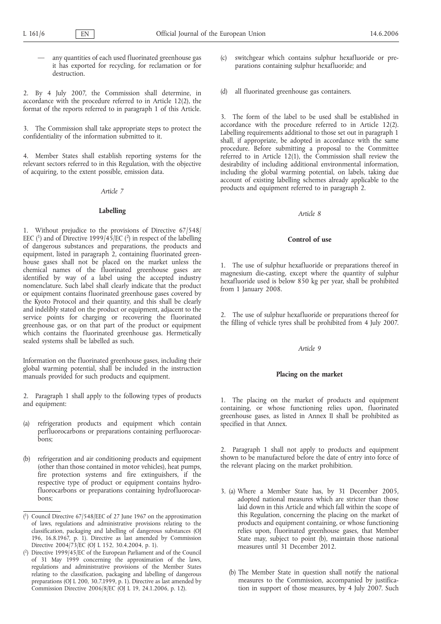any quantities of each used fluorinated greenhouse gas it has exported for recycling, for reclamation or for destruction.

2. By 4 July 2007, the Commission shall determine, in accordance with the procedure referred to in Article 12(2), the format of the reports referred to in paragraph 1 of this Article.

3. The Commission shall take appropriate steps to protect the confidentiality of the information submitted to it.

4. Member States shall establish reporting systems for the relevant sectors referred to in this Regulation, with the objective of acquiring, to the extent possible, emission data.

*Article 7*

# **Labelling**

1. Without prejudice to the provisions of Directive 67/548/ EEC (<sup>1</sup>) and of Directive 1999/45/EC (<sup>2</sup>) in respect of the labelling of dangerous substances and preparations, the products and equipment, listed in paragraph 2, containing fluorinated greenhouse gases shall not be placed on the market unless the chemical names of the fluorinated greenhouse gases are identified by way of a label using the accepted industry nomenclature. Such label shall clearly indicate that the product or equipment contains fluorinated greenhouse gases covered by the Kyoto Protocol and their quantity, and this shall be clearly and indelibly stated on the product or equipment, adjacent to the service points for charging or recovering the fluorinated greenhouse gas, or on that part of the product or equipment which contains the fluorinated greenhouse gas. Hermetically sealed systems shall be labelled as such.

Information on the fluorinated greenhouse gases, including their global warming potential, shall be included in the instruction manuals provided for such products and equipment.

2. Paragraph 1 shall apply to the following types of products and equipment:

- (a) refrigeration products and equipment which contain perfluorocarbons or preparations containing perfluorocarbons;
- (b) refrigeration and air conditioning products and equipment (other than those contained in motor vehicles), heat pumps, fire protection systems and fire extinguishers, if the respective type of product or equipment contains hydrofluorocarbons or preparations containing hydrofluorocarbons;
- (c) switchgear which contains sulphur hexafluoride or preparations containing sulphur hexafluoride; and
- (d) all fluorinated greenhouse gas containers.

3. The form of the label to be used shall be established in accordance with the procedure referred to in Article 12(2). Labelling requirements additional to those set out in paragraph 1 shall, if appropriate, be adopted in accordance with the same procedure. Before submitting a proposal to the Committee referred to in Article 12(1), the Commission shall review the desirability of including additional environmental information, including the global warming potential, on labels, taking due account of existing labelling schemes already applicable to the products and equipment referred to in paragraph 2.

# *Article 8*

# **Control of use**

1. The use of sulphur hexafluoride or preparations thereof in magnesium die-casting, except where the quantity of sulphur hexafluoride used is below 850 kg per year, shall be prohibited from 1 January 2008.

2. The use of sulphur hexafluoride or preparations thereof for the filling of vehicle tyres shall be prohibited from 4 July 2007.

### *Article 9*

### **Placing on the market**

1. The placing on the market of products and equipment containing, or whose functioning relies upon, fluorinated greenhouse gases, as listed in Annex II shall be prohibited as specified in that Annex.

2. Paragraph 1 shall not apply to products and equipment shown to be manufactured before the date of entry into force of the relevant placing on the market prohibition.

- 3. (a) Where a Member State has, by 31 December 2005, adopted national measures which are stricter than those laid down in this Article and which fall within the scope of this Regulation, concerning the placing on the market of products and equipment containing, or whose functioning relies upon, fluorinated greenhouse gases, that Member State may, subject to point (b), maintain those national measures until 31 December 2012.
	- (b) The Member State in question shall notify the national measures to the Commission, accompanied by justification in support of those measures, by 4 July 2007. Such

<sup>(</sup> 1) Council Directive 67/548/EEC of 27 June 1967 on the approximation of laws, regulations and administrative provisions relating to the classification, packaging and labelling of dangerous substances (OJ 196, 16.8.1967, p. 1). Directive as last amended by Commission Directive 2004/73/EC (OJ L 152, 30.4.2004, p. 1).

<sup>(</sup> 2) Directive 1999/45/EC of the European Parliament and of the Council of 31 May 1999 concerning the approximation of the laws, regulations and administrative provisions of the Member States relating to the classification, packaging and labelling of dangerous preparations (OJ L 200, 30.7.1999, p. 1). Directive as last amended by Commission Directive 2006/8/EC (OJ L 19, 24.1.2006, p. 12).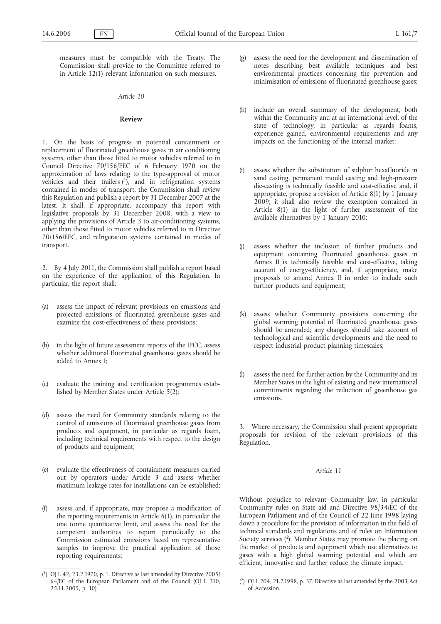measures must be compatible with the Treaty. The Commission shall provide to the Committee referred to in Article 12(1) relevant information on such measures.

# *Article 10*

### **Review**

1. On the basis of progress in potential containment or replacement of fluorinated greenhouse gases in air conditioning systems, other than those fitted to motor vehicles referred to in Council Directive 70/156/EEC of 6 February 1970 on the approximation of laws relating to the type-approval of motor vehicles and their trailers  $(1)$ , and in refrigeration systems contained in modes of transport, the Commission shall review this Regulation and publish a report by 31 December 2007 at the latest. It shall, if appropriate, accompany this report with legislative proposals by 31 December 2008, with a view to applying the provisions of Article 3 to air-conditioning systems, other than those fitted to motor vehicles referred to in Directive 70/156/EEC, and refrigeration systems contained in modes of transport.

2. By 4 July 2011, the Commission shall publish a report based on the experience of the application of this Regulation. In particular, the report shall:

- (a) assess the impact of relevant provisions on emissions and projected emissions of fluorinated greenhouse gases and examine the cost-effectiveness of these provisions;
- (b) in the light of future assessment reports of the IPCC, assess whether additional fluorinated greenhouse gases should be added to Annex I;
- (c) evaluate the training and certification programmes established by Member States under Article 5(2);
- (d) assess the need for Community standards relating to the control of emissions of fluorinated greenhouse gases from products and equipment, in particular as regards foam, including technical requirements with respect to the design of products and equipment;
- (e) evaluate the effectiveness of containment measures carried out by operators under Article 3 and assess whether maximum leakage rates for installations can be established;
- (f) assess and, if appropriate, may propose a modification of the reporting requirements in Article 6(1), in particular the one tonne quantitative limit, and assess the need for the competent authorities to report periodically to the Commission estimated emissions based on representative samples to improve the practical application of those reporting requirements;
- (g) assess the need for the development and dissemination of notes describing best available techniques and best environmental practices concerning the prevention and minimisation of emissions of fluorinated greenhouse gases;
- (h) include an overall summary of the development, both within the Community and at an international level, of the state of technology, in particular as regards foams, experience gained, environmental requirements and any impacts on the functioning of the internal market;
- (i) assess whether the substitution of sulphur hexafluoride in sand casting, permanent mould casting and high-pressure die-casting is technically feasible and cost-effective and, if appropriate, propose a revision of Article 8(1) by 1 January 2009; it shall also review the exemption contained in Article 8(1) in the light of further assessment of the available alternatives by 1 January 2010;
- (j) assess whether the inclusion of further products and equipment containing fluorinated greenhouse gases in Annex II is technically feasible and cost-effective, taking account of energy-efficiency, and, if appropriate, make proposals to amend Annex II in order to include such further products and equipment;
- (k) assess whether Community provisions concerning the global warming potential of fluorinated greenhouse gases should be amended; any changes should take account of technological and scientific developments and the need to respect industrial product planning timescales;
- (l) assess the need for further action by the Community and its Member States in the light of existing and new international commitments regarding the reduction of greenhouse gas emissions.

3. Where necessary, the Commission shall present appropriate proposals for revision of the relevant provisions of this Regulation.

# *Article 11*

Without prejudice to relevant Community law, in particular Community rules on State aid and Directive 98/34/EC of the European Parliament and of the Council of 22 June 1998 laying down a procedure for the provision of information in the field of technical standards and regulations and of rules on Information Society services  $(2)$ , Member States may promote the placing on the market of products and equipment which use alternatives to gases with a high global warming potential and which are efficient, innovative and further reduce the climate impact.

<sup>(</sup> 1) OJ L 42, 23.2.1970, p. 1. Directive as last amended by Directive 2005/ 64/EC of the European Parliament and of the Council (OJ L 310, 25.11.2005, p. 10).

<sup>(</sup> 2) OJ L 204, 21.7.1998, p. 37. Directive as last amended by the 2003 Act of Accession.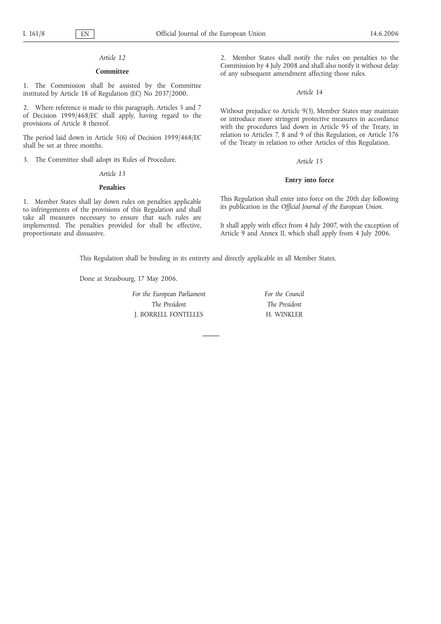# *Article 12*

# **Committee**

1. The Commission shall be assisted by the Committee instituted by Article 18 of Regulation (EC) No 2037/2000.

2. Where reference is made to this paragraph, Articles 5 and 7 of Decision 1999/468/EC shall apply, having regard to the provisions of Article 8 thereof.

The period laid down in Article 5(6) of Decision 1999/468/EC shall be set at three months.

3. The Committee shall adopt its Rules of Procedure.

### *Article 13*

# **Penalties**

1. Member States shall lay down rules on penalties applicable to infringements of the provisions of this Regulation and shall take all measures necessary to ensure that such rules are implemented. The penalties provided for shall be effective, proportionate and dissuasive.

2. Member States shall notify the rules on penalties to the Commission by 4 July 2008 and shall also notify it without delay of any subsequent amendment affecting those rules.

### *Article 14*

Without prejudice to Article 9(3), Member States may maintain or introduce more stringent protective measures in accordance with the procedures laid down in Article 95 of the Treaty, in relation to Articles 7, 8 and 9 of this Regulation, or Article 176 of the Treaty in relation to other Articles of this Regulation.

### *Article 15*

### **Entry into force**

This Regulation shall enter into force on the 20th day following its publication in the *Official Journal of the European Union.*

It shall apply with effect from 4 July 2007, with the exception of Article 9 and Annex II, which shall apply from 4 July 2006.

This Regulation shall be binding in its entirety and directly applicable in all Member States.

Done at Strasbourg, 17 May 2006.

*For the European Parliament The President* J. BORRELL FONTELLES

*For the Council The President* H. WINKLER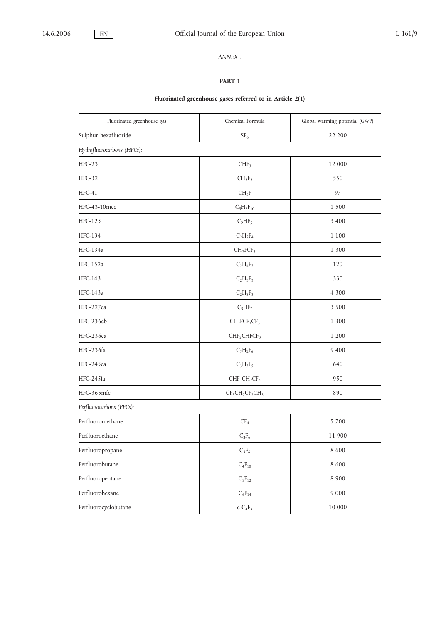# *ANNEX I*

# **PART 1**

# **Fluorinated greenhouse gases referred to in Article 2(1)**

| Fluorinated greenhouse gas | Chemical Formula                    | Global warming potential (GWP) |
|----------------------------|-------------------------------------|--------------------------------|
| Sulphur hexafluoride       | $\rm SF_6$                          | 22 200                         |
| Hydrofluorocarbons (HFCs): |                                     |                                |
| $HFC-23$                   | CHF <sub>3</sub>                    | 12 000                         |
| $HFC-32$                   | $CH_2F_2$                           | 550                            |
| $HFC-41$                   | $CH_3F$                             | 97                             |
| HFC-43-10mee               | $C_5H_2F_{10}$                      | 1 500                          |
| HFC-125                    | $C_2HF_5$                           | 3 4 0 0                        |
| HFC-134                    | $C_2H_2F_4$                         | 1 1 0 0                        |
| HFC-134a                   | CH <sub>2</sub> FCF <sub>3</sub>    | 1 300                          |
| HFC-152a                   | $C_2H_4F_2$                         | 120                            |
| HFC-143                    | $C_2H_3F_3$                         | 330                            |
| HFC-143a                   | $C_2H_3F_3$                         | 4 3 0 0                        |
| HFC-227ea                  | $C_3HF_7$                           | 3 500                          |
| HFC-236cb                  | $CH2FCF2CF3$                        | 1 300                          |
| HFC-236ea                  | CHF <sub>2</sub> CHFCF <sub>3</sub> | 1 200                          |
| HFC-236fa                  | $C_3H_2F_6$                         | 9 4 0 0                        |
| HFC-245ca                  | $C_3H_3F_5$                         | 640                            |
| HFC-245fa                  | $CHF2CH2CF3$                        | 950                            |
| HFC-365mfc                 | $CF3CH2CF2CH3$                      | 890                            |
| Perfluorocarbons (PFCs):   |                                     |                                |
| Perfluoromethane           | CF <sub>4</sub>                     | 5 700                          |
| Perfluoroethane            | $C_2F_6$                            | 11 900                         |
| Perfluoropropane           | $C_3F_8$                            | 8 600                          |
| Perfluorobutane            | $C_4F_{10}$                         | 8 600                          |
| Perfluoropentane           | $C_5F_{12}$                         | 8 900                          |
| Perfluorohexane            | $\mathrm{C_6F_{14}}$                | 9 0 0 0                        |
| Perfluorocyclobutane       | $c$ - $C_4F_8$                      | $10\;000$                      |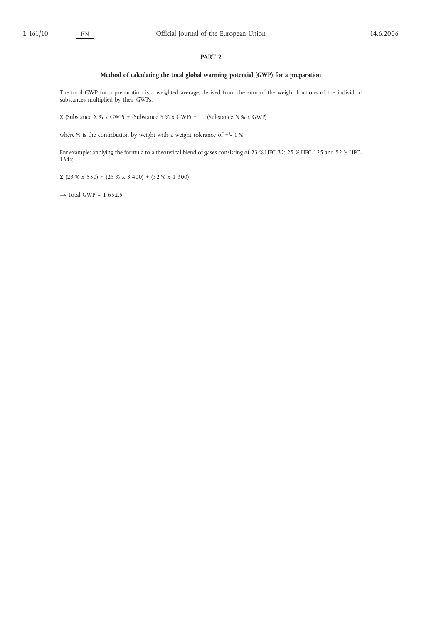# **PART 2**

# **Method of calculating the total global warming potential (GWP) for a preparation**

The total GWP for a preparation is a weighted average, derived from the sum of the weight fractions of the individual substances multiplied by their GWPs.

Σ (Substance X % x GWP) + (Substance Y % x GWP) + … (Substance N % x GWP)

where % is the contribution by weight with a weight tolerance of +/- 1 %.

For example: applying the formula to a theoretical blend of gases consisting of 23 % HFC-32; 25 % HFC-125 and 52 % HFC-134a;

Σ (23 % x 550) + (25 % x 3 400) + (52 % x 1 300)

 $\rightarrow$  Total GWP = 1 652,5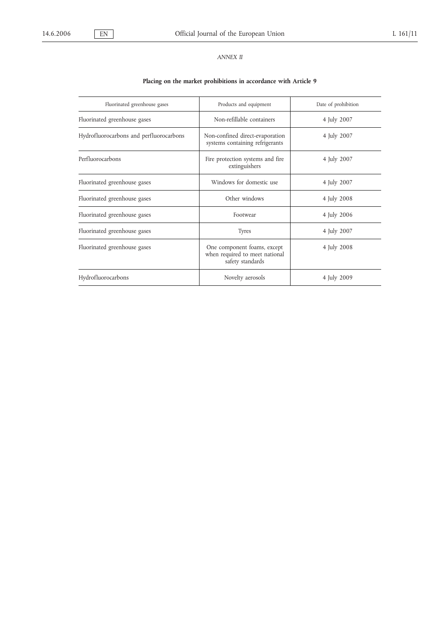# *ANNEX II*

# **Placing on the market prohibitions in accordance with Article 9**

| Fluorinated greenhouse gases            | Products and equipment                                                            | Date of prohibition |
|-----------------------------------------|-----------------------------------------------------------------------------------|---------------------|
| Fluorinated greenhouse gases            | Non-refillable containers                                                         | 4 July 2007         |
| Hydrofluorocarbons and perfluorocarbons | Non-confined direct-evaporation<br>systems containing refrigerants                | 4 July 2007         |
| Perfluorocarbons                        | Fire protection systems and fire<br>extinguishers                                 | 4 July 2007         |
| Fluorinated greenhouse gases            | Windows for domestic use                                                          | 4 July 2007         |
| Fluorinated greenhouse gases            | Other windows                                                                     | 4 July 2008         |
| Fluorinated greenhouse gases            | Footwear                                                                          | 4 July 2006         |
| Fluorinated greenhouse gases            | <b>Tyres</b>                                                                      | 4 July 2007         |
| Fluorinated greenhouse gases            | One component foams, except<br>when required to meet national<br>safety standards | 4 July 2008         |
| Hydrofluorocarbons                      | Novelty aerosols                                                                  | 4 July 2009         |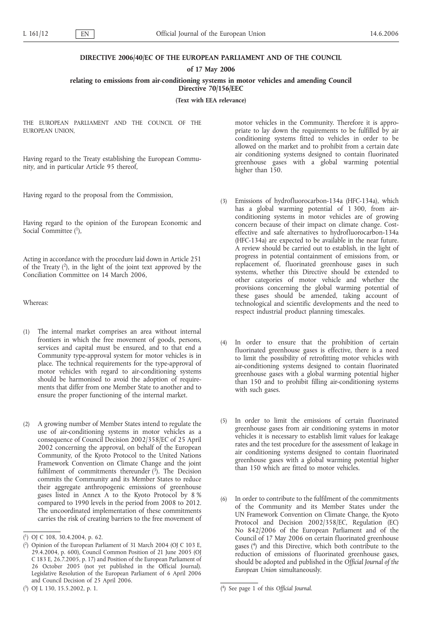# **DIRECTIVE 2006/40/EC OF THE EUROPEAN PARLIAMENT AND OF THE COUNCIL**

# **of 17 May 2006**

# **relating to emissions from air-conditioning systems in motor vehicles and amending Council Directive 70/156/EEC**

**(Text with EEA relevance)**

THE EUROPEAN PARLIAMENT AND THE COUNCIL OF THE EUROPEAN UNION,

Having regard to the Treaty establishing the European Community, and in particular Article 95 thereof,

Having regard to the proposal from the Commission,

Having regard to the opinion of the European Economic and Social Committee (1),

Acting in accordance with the procedure laid down in Article 251 of the Treaty  $(2)$ , in the light of the joint text approved by the Conciliation Committee on 14 March 2006,

Whereas:

- (1) The internal market comprises an area without internal frontiers in which the free movement of goods, persons, services and capital must be ensured, and to that end a Community type-approval system for motor vehicles is in place. The technical requirements for the type-approval of motor vehicles with regard to air-conditioning systems should be harmonised to avoid the adoption of requirements that differ from one Member State to another and to ensure the proper functioning of the internal market.
- (2) A growing number of Member States intend to regulate the use of air-conditioning systems in motor vehicles as a consequence of Council Decision 2002/358/EC of 25 April 2002 concerning the approval, on behalf of the European Community, of the Kyoto Protocol to the United Nations Framework Convention on Climate Change and the joint fulfilment of commitments thereunder  $(3)$ . The Decision commits the Community and its Member States to reduce their aggregate anthropogenic emissions of greenhouse gases listed in Annex A to the Kyoto Protocol by 8 % compared to 1990 levels in the period from 2008 to 2012. The uncoordinated implementation of these commitments carries the risk of creating barriers to the free movement of

motor vehicles in the Community. Therefore it is appropriate to lay down the requirements to be fulfilled by air conditioning systems fitted to vehicles in order to be allowed on the market and to prohibit from a certain date air conditioning systems designed to contain fluorinated greenhouse gases with a global warming potential higher than 150.

- (3) Emissions of hydrofluorocarbon-134a (HFC-134a), which has a global warming potential of 1 300, from airconditioning systems in motor vehicles are of growing concern because of their impact on climate change. Costeffective and safe alternatives to hydrofluorocarbon‑134a (HFC-134a) are expected to be available in the near future. A review should be carried out to establish, in the light of progress in potential containment of emissions from, or replacement of, fluorinated greenhouse gases in such systems, whether this Directive should be extended to other categories of motor vehicle and whether the provisions concerning the global warming potential of these gases should be amended, taking account of technological and scientific developments and the need to respect industrial product planning timescales.
- (4) In order to ensure that the prohibition of certain fluorinated greenhouse gases is effective, there is a need to limit the possibility of retrofitting motor vehicles with air-conditioning systems designed to contain fluorinated greenhouse gases with a global warming potential higher than 150 and to prohibit filling air-conditioning systems with such gases.
- (5) In order to limit the emissions of certain fluorinated greenhouse gases from air conditioning systems in motor vehicles it is necessary to establish limit values for leakage rates and the test procedure for the assessment of leakage in air conditioning systems designed to contain fluorinated greenhouse gases with a global warming potential higher than 150 which are fitted to motor vehicles.
- (6) In order to contribute to the fulfilment of the commitments of the Community and its Member States under the UN Framework Convention on Climate Change, the Kyoto Protocol and Decision 2002/358/EC, Regulation (EC) No 842/2006 of the European Parliament and of the Council of 17 May 2006 on certain fluorinated greenhouse gases (4) and this Directive, which both contribute to the reduction of emissions of fluorinated greenhouse gases, should be adopted and published in the *Official Journal of the European Union* simultaneously.

<sup>(</sup> 1) OJ C 108, 30.4.2004, p. 62.

<sup>(</sup> 2) Opinion of the European Parliament of 31 March 2004 (OJ C 103 E, 29.4.2004, p. 600), Council Common Position of 21 June 2005 (OJ C 183 E, 26.7.2005, p. 17) and Position of the European Parliament of 26 October 2005 (not yet published in the Official Journal). Legislative Resolution of the European Parliament of 6 April 2006 and Council Decision of 25 April 2006.

 $(^{3})$  OJ L 130, 15.5.2002, p. 1.

<sup>4)</sup> See page 1 of this *Official Journal*.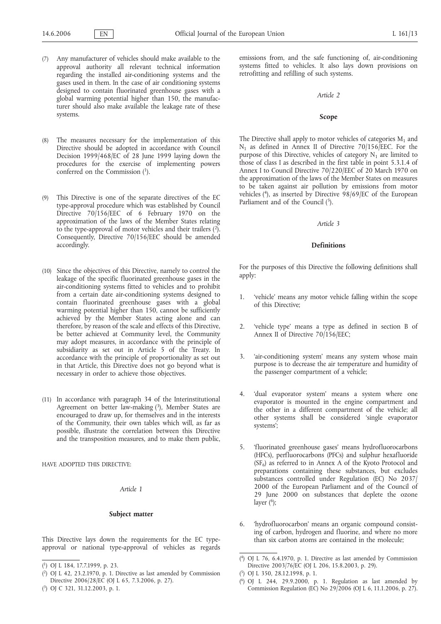- (7) Any manufacturer of vehicles should make available to the approval authority all relevant technical information regarding the installed air-conditioning systems and the gases used in them. In the case of air conditioning systems designed to contain fluorinated greenhouse gases with a global warming potential higher than 150, the manufacturer should also make available the leakage rate of these systems.
- (8) The measures necessary for the implementation of this Directive should be adopted in accordance with Council Decision 1999/468/EC of 28 June 1999 laying down the procedures for the exercise of implementing powers conferred on the Commission  $(1)$ .
- (9) This Directive is one of the separate directives of the EC type-approval procedure which was established by Council Directive 70/156/EEC of 6 February 1970 on the approximation of the laws of the Member States relating to the type-approval of motor vehicles and their trailers  $(2)$ . Consequently, Directive 70/156/EEC should be amended accordingly.
- (10) Since the objectives of this Directive, namely to control the leakage of the specific fluorinated greenhouse gases in the air-conditioning systems fitted to vehicles and to prohibit from a certain date air-conditioning systems designed to contain fluorinated greenhouse gases with a global warming potential higher than 150, cannot be sufficiently achieved by the Member States acting alone and can therefore, by reason of the scale and effects of this Directive, be better achieved at Community level, the Community may adopt measures, in accordance with the principle of subsidiarity as set out in Article 5 of the Treaty. In accordance with the principle of proportionality as set out in that Article, this Directive does not go beyond what is necessary in order to achieve those objectives.
- (11) In accordance with paragraph 34 of the Interinstitutional Agreement on better law-making  $(3)$ , Member States are encouraged to draw up, for themselves and in the interests of the Community, their own tables which will, as far as possible, illustrate the correlation between this Directive and the transposition measures, and to make them public,

HAVE ADOPTED THIS DIRECTIVE:

*Article 1*

# **Subject matter**

This Directive lays down the requirements for the EC typeapproval or national type-approval of vehicles as regards emissions from, and the safe functioning of, air-conditioning systems fitted to vehicles. It also lays down provisions on retrofitting and refilling of such systems.

# *Article 2*

# **Scope**

The Directive shall apply to motor vehicles of categories  $M_1$  and  $N_1$  as defined in Annex II of Directive 70/156/EEC. For the purpose of this Directive, vehicles of category  $N_1$  are limited to those of class I as described in the first table in point 5.3.1.4 of Annex I to Council Directive 70/220/EEC of 20 March 1970 on the approximation of the laws of the Member States on measures to be taken against air pollution by emissions from motor vehicles (<sup>4</sup>), as inserted by Directive 98/69/EC of the European Parliament and of the Council (5).

### *Article 3*

### **Definitions**

For the purposes of this Directive the following definitions shall apply:

- 1. 'vehicle' means any motor vehicle falling within the scope of this Directive;
- 2. 'vehicle type' means a type as defined in section B of Annex II of Directive 70/156/EEC;
- 3. 'air-conditioning system' means any system whose main purpose is to decrease the air temperature and humidity of the passenger compartment of a vehicle;
- 4. 'dual evaporator system' means a system where one evaporator is mounted in the engine compartment and the other in a different compartment of the vehicle; all other systems shall be considered 'single evaporator systems';
- 5. 'fluorinated greenhouse gases' means hydrofluorocarbons (HFCs), perfluorocarbons (PFCs) and sulphur hexafluoride  $(SF_6)$  as referred to in Annex A of the Kyoto Protocol and preparations containing these substances, but excludes substances controlled under Regulation (EC) No 2037/ 2000 of the European Parliament and of the Council of 29 June 2000 on substances that deplete the ozone layer  $(6)$ ;
- 6. 'hydrofluorocarbon' means an organic compound consisting of carbon, hydrogen and fluorine, and where no more than six carbon atoms are contained in the molecule;

<sup>(</sup> 1) OJ L 184, 17.7.1999, p. 23.

<sup>(</sup> 2) OJ L 42, 23.2.1970, p. 1. Directive as last amended by Commission Directive 2006/28/EC (OJ L 65, 7.3.2006, p. 27).

<sup>(</sup> 3) OJ C 321, 31.12.2003, p. 1.

<sup>(</sup> 4) OJ L 76, 6.4.1970, p. 1. Directive as last amended by Commission Directive 2003/76/EC (OJ L 206, 15.8.2003, p. 29).

<sup>(</sup> 5) OJ L 350, 28.12.1998, p. 1.

<sup>(</sup> 6) OJ L 244, 29.9.2000, p. 1. Regulation as last amended by Commission Regulation (EC) No 29/2006 (OJ L 6, 11.1.2006, p. 27).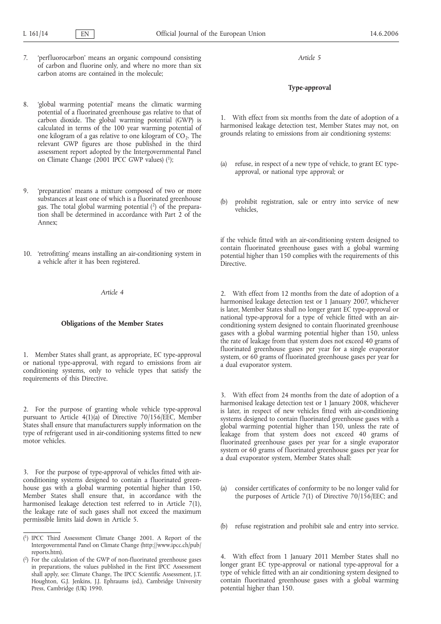- 7. 'perfluorocarbon' means an organic compound consisting of carbon and fluorine only, and where no more than six carbon atoms are contained in the molecule;
- 8. 'global warming potential' means the climatic warming potential of a fluorinated greenhouse gas relative to that of carbon dioxide. The global warming potential (GWP) is calculated in terms of the 100 year warming potential of one kilogram of a gas relative to one kilogram of  $CO<sub>2</sub>$ . The relevant GWP figures are those published in the third assessment report adopted by the Intergovernmental Panel on Climate Change (2001 IPCC GWP values) (1);
- 9. 'preparation' means a mixture composed of two or more substances at least one of which is a fluorinated greenhouse gas. The total global warming potential (2) of the preparation shall be determined in accordance with Part 2 of the Annex;
- 10. 'retrofitting' means installing an air-conditioning system in a vehicle after it has been registered.

*Article 4*

# **Obligations of the Member States**

1. Member States shall grant, as appropriate, EC type-approval or national type-approval, with regard to emissions from air conditioning systems, only to vehicle types that satisfy the requirements of this Directive.

2. For the purpose of granting whole vehicle type-approval pursuant to Article 4(1)(a) of Directive 70/156/EEC, Member States shall ensure that manufacturers supply information on the type of refrigerant used in air-conditioning systems fitted to new motor vehicles.

3. For the purpose of type-approval of vehicles fitted with airconditioning systems designed to contain a fluorinated greenhouse gas with a global warming potential higher than 150, Member States shall ensure that, in accordance with the harmonised leakage detection test referred to in Article 7(1), the leakage rate of such gases shall not exceed the maximum permissible limits laid down in Article 5.

*Article 5*

# **Type-approval**

1. With effect from six months from the date of adoption of a harmonised leakage detection test, Member States may not, on grounds relating to emissions from air conditioning systems:

- (a) refuse, in respect of a new type of vehicle, to grant EC typeapproval, or national type approval; or
- (b) prohibit registration, sale or entry into service of new vehicles,

if the vehicle fitted with an air-conditioning system designed to contain fluorinated greenhouse gases with a global warming potential higher than 150 complies with the requirements of this Directive.

2. With effect from 12 months from the date of adoption of a harmonised leakage detection test or 1 January 2007, whichever is later, Member States shall no longer grant EC type-approval or national type-approval for a type of vehicle fitted with an airconditioning system designed to contain fluorinated greenhouse gases with a global warming potential higher than 150, unless the rate of leakage from that system does not exceed 40 grams of fluorinated greenhouse gases per year for a single evaporator system, or 60 grams of fluorinated greenhouse gases per year for a dual evaporator system.

3. With effect from 24 months from the date of adoption of a harmonised leakage detection test or 1 January 2008, whichever is later, in respect of new vehicles fitted with air-conditioning systems designed to contain fluorinated greenhouse gases with a global warming potential higher than 150, unless the rate of leakage from that system does not exceed 40 grams of fluorinated greenhouse gases per year for a single evaporator system or 60 grams of fluorinated greenhouse gases per year for a dual evaporator system, Member States shall:

- (a) consider certificates of conformity to be no longer valid for the purposes of Article 7(1) of Directive 70/156/EEC; and
- (b) refuse registration and prohibit sale and entry into service.

4. With effect from 1 January 2011 Member States shall no longer grant EC type-approval or national type-approval for a type of vehicle fitted with an air conditioning system designed to contain fluorinated greenhouse gases with a global warming potential higher than 150.

<sup>(</sup> 1) IPCC Third Assessment Climate Change 2001. A Report of the Intergovernmental Panel on Climate Change (http://www.ipcc.ch/pub/ reports.htm).

<sup>(</sup> 2) For the calculation of the GWP of non-fluorinated greenhouse gases in preparations, the values published in the First IPCC Assessment shall apply, see: Climate Change, The IPCC Scientific Assessment, J.T. Houghton, G.J. Jenkins, J.J. Ephraums (ed.), Cambridge University Press, Cambridge (UK) 1990.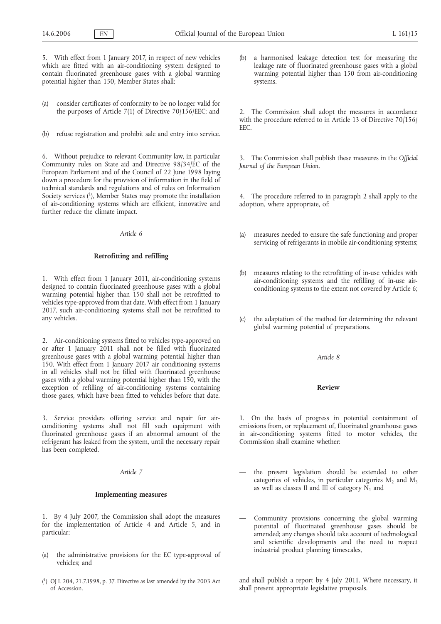5. With effect from 1 January 2017, in respect of new vehicles which are fitted with an air-conditioning system designed to contain fluorinated greenhouse gases with a global warming potential higher than 150, Member States shall:

- (a) consider certificates of conformity to be no longer valid for the purposes of Article 7(1) of Directive 70/156/EEC; and
- (b) refuse registration and prohibit sale and entry into service.

6. Without prejudice to relevant Community law, in particular Community rules on State aid and Directive 98/34/EC of the European Parliament and of the Council of 22 June 1998 laying down a procedure for the provision of information in the field of technical standards and regulations and of rules on Information Society services  $(1)$ , Member States may promote the installation of air-conditioning systems which are efficient, innovative and further reduce the climate impact.

### *Article 6*

### **Retrofitting and refilling**

1. With effect from 1 January 2011, air-conditioning systems designed to contain fluorinated greenhouse gases with a global warming potential higher than 150 shall not be retrofitted to vehicles type-approved from that date. With effect from 1 January 2017, such air-conditioning systems shall not be retrofitted to any vehicles.

2. Air-conditioning systems fitted to vehicles type-approved on or after 1 January 2011 shall not be filled with fluorinated greenhouse gases with a global warming potential higher than 150. With effect from 1 January 2017 air conditioning systems in all vehicles shall not be filled with fluorinated greenhouse gases with a global warming potential higher than 150, with the exception of refilling of air-conditioning systems containing those gases, which have been fitted to vehicles before that date.

3. Service providers offering service and repair for airconditioning systems shall not fill such equipment with fluorinated greenhouse gases if an abnormal amount of the refrigerant has leaked from the system, until the necessary repair has been completed.

# *Article 7*

### **Implementing measures**

1. By 4 July 2007, the Commission shall adopt the measures for the implementation of Article 4 and Article 5, and in particular:

(a) the administrative provisions for the EC type-approval of vehicles; and

a harmonised leakage detection test for measuring the leakage rate of fluorinated greenhouse gases with a global warming potential higher than 150 from air-conditioning systems.

2. The Commission shall adopt the measures in accordance with the procedure referred to in Article 13 of Directive 70/156/ EEC.

3. The Commission shall publish these measures in the *Official Journal of the European Union*.

4. The procedure referred to in paragraph 2 shall apply to the adoption, where appropriate, of:

- (a) measures needed to ensure the safe functioning and proper servicing of refrigerants in mobile air-conditioning systems;
- (b) measures relating to the retrofitting of in-use vehicles with air-conditioning systems and the refilling of in-use airconditioning systems to the extent not covered by Article 6;
- (c) the adaptation of the method for determining the relevant global warming potential of preparations.

### *Article 8*

# **Review**

1. On the basis of progress in potential containment of emissions from, or replacement of, fluorinated greenhouse gases in air-conditioning systems fitted to motor vehicles, the Commission shall examine whether:

- the present legislation should be extended to other categories of vehicles, in particular categories  $M_2$  and  $M_3$ as well as classes II and III of category  $N_1$  and
- Community provisions concerning the global warming potential of fluorinated greenhouse gases should be amended; any changes should take account of technological and scientific developments and the need to respect industrial product planning timescales,

and shall publish a report by 4 July 2011. Where necessary, it shall present appropriate legislative proposals.

<sup>(</sup> 1) OJ L 204, 21.7.1998, p. 37. Directive as last amended by the 2003 Act of Accession.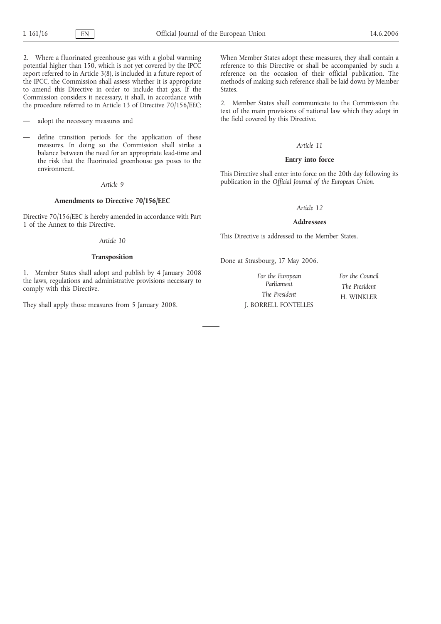2. Where a fluorinated greenhouse gas with a global warming potential higher than 150, which is not yet covered by the IPCC report referred to in Article 3(8), is included in a future report of the IPCC, the Commission shall assess whether it is appropriate to amend this Directive in order to include that gas. If the Commission considers it necessary, it shall, in accordance with the procedure referred to in Article 13 of Directive 70/156/EEC:

adopt the necessary measures and

define transition periods for the application of these measures. In doing so the Commission shall strike a balance between the need for an appropriate lead-time and the risk that the fluorinated greenhouse gas poses to the environment.

# *Article 9*

### **Amendments to Directive 70/156/EEC**

Directive 70/156/EEC is hereby amended in accordance with Part 1 of the Annex to this Directive.

### *Article 10*

# **Transposition**

1. Member States shall adopt and publish by 4 January 2008 the laws, regulations and administrative provisions necessary to comply with this Directive.

They shall apply those measures from 5 January 2008.

When Member States adopt these measures, they shall contain a reference to this Directive or shall be accompanied by such a reference on the occasion of their official publication. The methods of making such reference shall be laid down by Member States.

2. Member States shall communicate to the Commission the text of the main provisions of national law which they adopt in the field covered by this Directive.

### *Article 11*

# **Entry into force**

This Directive shall enter into force on the 20th day following its publication in the *Official Journal of the European Union*.

# *Article 12*

### **Addressees**

This Directive is addressed to the Member States.

Done at Strasbourg, 17 May 2006.

*For the European Parliament The President* J. BORRELL FONTELLES *For the Council The President* H. WINKLER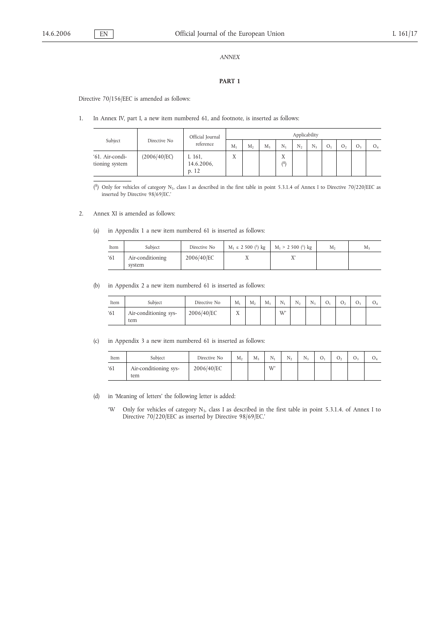### *ANNEX*

# **PART 1**

Directive 70/156/EEC is amended as follows:

1. In Annex IV, part I, a new item numbered 61, and footnote, is inserted as follows:

| Subject                           | Directive No | Official Journal<br>reference | Applicability |   |         |                       |    |    |  |  |    |    |
|-----------------------------------|--------------|-------------------------------|---------------|---|---------|-----------------------|----|----|--|--|----|----|
|                                   |              |                               | $M_1$         | M | $M_{3}$ | Ν,                    | N, | N, |  |  | O- | O. |
| '61. Air-condi-<br>tioning system | (2006/40/EC) | L 161,<br>14.6.2006,<br>p. 12 | T.<br>Λ       |   |         | <b>TT</b><br>л<br>(8) |    |    |  |  |    |    |

( $^{8}$ ) Only for vehicles of category N<sub>1</sub>, class I as described in the first table in point 5.3.1.4 of Annex I to Directive 70/220/EEC as inserted by Directive 98/69/EC.'

### 2. Annex XI is amended as follows:

(a) in Appendix 1 a new item numbered 61 is inserted as follows:

| Item         | Subject                    | Directive No | $M_1 \le 2500$ ( <sup>1</sup> ) kg $M_1 > 2500$ ( <sup>1</sup> ) kg | М, | M: |
|--------------|----------------------------|--------------|---------------------------------------------------------------------|----|----|
| $^{\circ}61$ | Air-conditioning<br>system | 2006/40/EC   | ∡⊾                                                                  |    |    |

(b) in Appendix 2 a new item numbered 61 is inserted as follows:

| Item | Subiect                      | Directive No | $M_1$          | $M_{2}$ | M, | $N_{1}$ | $N_{2}$ | $N_{3}$ | O <sub>1</sub> | ◡ | U: |  |
|------|------------------------------|--------------|----------------|---------|----|---------|---------|---------|----------------|---|----|--|
| 61   | Air-conditioning sys-<br>tem | 2006/40/EC   | <b>TT</b><br>л |         |    | W'      |         |         |                |   |    |  |

(c) in Appendix 3 a new item numbered 61 is inserted as follows:

| Item | Subiect                      | Directive No | M <sub>2</sub> | $M_3$ | $N_{1}$ | $N_{2}$ | $N_{3}$ | U1 | U١ | U. | v. |
|------|------------------------------|--------------|----------------|-------|---------|---------|---------|----|----|----|----|
| 61   | Air-conditioning sys-<br>tem | 2006/40/EC   |                |       | W       |         |         |    |    |    |    |

- (d) in 'Meaning of letters' the following letter is added:
	- 'W Only for vehicles of category N<sub>1</sub>, class I as described in the first table in point 5.3.1.4. of Annex I to Directive 70/220/EEC as inserted by Directive 98/69/EC.'